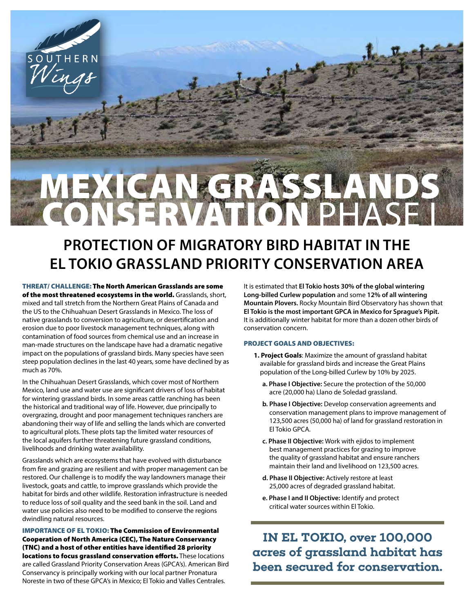

## **PROTECTION OF MIGRATORY BIRD HABITAT IN THE EL TOKIO GRASSLAND PRIORITY CONSERVATION AREA**

THREAT/ CHALLENGE: The North American Grasslands are some of the most threatened ecosystems in the world. Grasslands, short, mixed and tall stretch from the Northern Great Plains of Canada and the US to the Chihuahuan Desert Grasslands in Mexico. The loss of native grasslands to conversion to agriculture, or desertification and erosion due to poor livestock management techniques, along with contamination of food sources from chemical use and an increase in man-made structures on the landscape have had a dramatic negative impact on the populations of grassland birds. Many species have seen steep population declines in the last 40 years, some have declined by as much as 70%.

UTHERN

In the Chihuahuan Desert Grasslands, which cover most of Northern Mexico, land use and water use are significant drivers of loss of habitat for wintering grassland birds. In some areas cattle ranching has been the historical and traditional way of life. However, due principally to overgrazing, drought and poor management techniques ranchers are abandoning their way of life and selling the lands which are converted to agricultural plots. These plots tap the limited water resources of the local aquifers further threatening future grassland conditions, livelihoods and drinking water availability.

Grasslands which are ecosystems that have evolved with disturbance from fire and grazing are resilient and with proper management can be restored. Our challenge is to modify the way landowners manage their livestock, goats and cattle, to improve grasslands which provide the habitat for birds and other wildlife. Restoration infrastructure is needed to reduce loss of soil quality and the seed bank in the soil. Land and water use policies also need to be modified to conserve the regions dwindling natural resources.

IMPORTANCE OF EL TOKIO: The Commission of Environmental Cooperation of North America (CEC), The Nature Conservancy (TNC) and a host of other entities have identified 28 priority locations to focus grassland conservation efforts. These locations are called Grassland Priority Conservation Areas (GPCA's). American Bird Conservancy is principally working with our local partner Pronatura Noreste in two of these GPCA's in Mexico; El Tokio and Valles Centrales.

It is estimated that **El Tokio hosts 30% of the global wintering Long-billed Curlew population** and some **12% of all wintering Mountain Plovers.** Rocky Mountain Bird Observatory has shown that **El Tokio is the most important GPCA in Mexico for Sprague's Pipit.** It is additionally winter habitat for more than a dozen other birds of conservation concern.

### PROJECT GOALS AND OBJECTIVES:

- **1. Project Goals**: Maximize the amount of grassland habitat available for grassland birds and increase the Great Plains population of the Long-billed Curlew by 10% by 2025.
	- **a. Phase I Objective:** Secure the protection of the 50,000 acre (20,000 ha) Llano de Soledad grassland.
	- **b. Phase I Objective:** Develop conservation agreements and conservation management plans to improve management of 123,500 acres (50,000 ha) of land for grassland restoration in El Tokio GPCA.
	- **c. Phase II Objective:** Work with ejidos to implement best management practices for grazing to improve the quality of grassland habitat and ensure ranchers maintain their land and livelihood on 123,500 acres.
	- **d. Phase II Objective:** Actively restore at least 25,000 acres of degraded grassland habitat.
	- **e. Phase I and II Objective:** Identify and protect critical water sources within El Tokio.

**IN EL TOKIO, over 100,000 acres of grassland habitat has been secured for conservation.**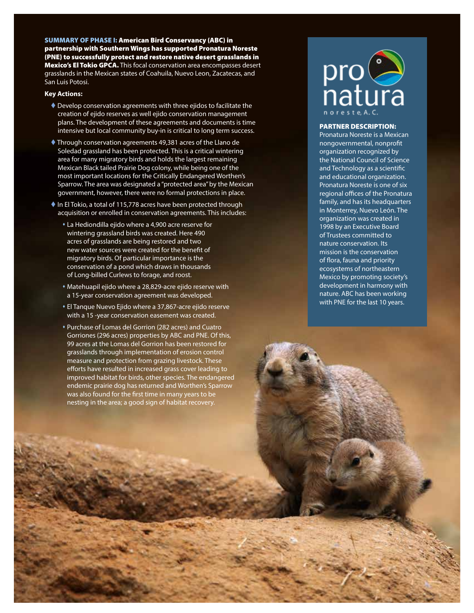SUMMARY OF PHASE I: American Bird Conservancy (ABC) in partnership with Southern Wings has supported Pronatura Noreste (PNE) to successfully protect and restore native desert grasslands in **Mexico's El Tokio GPCA.** This focal conservation area encompasses desert grasslands in the Mexican states of Coahuila, Nuevo Leon, Zacatecas, and San Luis Potosi.

### **Key Actions:**

- Develop conservation agreements with three ejidos to facilitate the creation of ejido reserves as well ejido conservation management plans. The development of these agreements and documents is time intensive but local community buy-in is critical to long term success.
- Through conservation agreements 49,381 acres of the Llano de Soledad grassland has been protected. This is a critical wintering area for many migratory birds and holds the largest remaining Mexican Black tailed Prairie Dog colony, while being one of the most important locations for the Critically Endangered Worthen's Sparrow. The area was designated a "protected area" by the Mexican government, however, there were no formal protections in place.
- ◆ In El Tokio, a total of 115,778 acres have been protected through acquisition or enrolled in conservation agreements. This includes:
	- La Hediondilla ejido where a 4,900 acre reserve for wintering grassland birds was created. Here 490 acres of grasslands are being restored and two new water sources were created for the benefit of migratory birds. Of particular importance is the conservation of a pond which draws in thousands of Long-billed Curlews to forage, and roost.
	- Matehuapil ejido where a 28,829-acre ejido reserve with a 15-year conservation agreement was developed.
	- El Tanque Nuevo Ejido where a 37,867-acre ejido reserve with a 15 -year conservation easement was created.
	- Purchase of Lomas del Gorrion (282 acres) and Cuatro Gorriones (296 acres) properties by ABC and PNE. Of this, 99 acres at the Lomas del Gorrion has been restored for grasslands through implementation of erosion control measure and protection from grazing livestock. These efforts have resulted in increased grass cover leading to improved habitat for birds, other species. The endangered endemic prairie dog has returned and Worthen's Sparrow was also found for the first time in many years to be nesting in the area; a good sign of habitat recovery.

# pro<br>natura

#### PARTNER DESCRIPTION:

Pronatura Noreste is a Mexican nongovernmental, nonprofit organization recognized by the National Council of Science and Technology as a scientific and educational organization. Pronatura Noreste is one of six regional offices of the Pronatura family, and has its headquarters in Monterrey, Nuevo León. The organization was created in 1998 by an Executive Board of Trustees committed to nature conservation. Its mission is the conservation of flora, fauna and priority ecosystems of northeastern Mexico by promoting society's development in harmony with nature. ABC has been working with PNE for the last 10 years.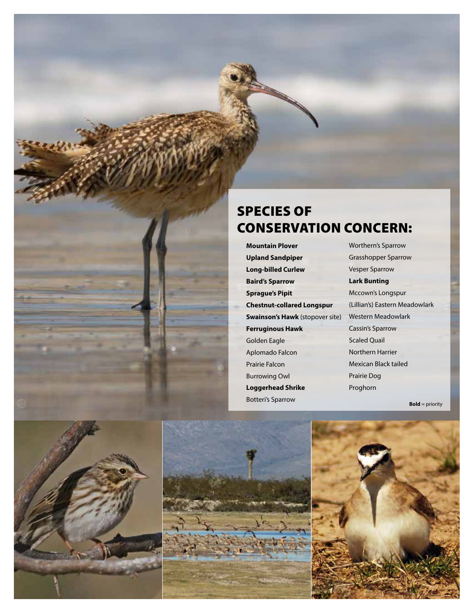### SPECIES OF CONSERVATION CONCERN:

**Mountain Plover Upland Sandpiper Long-billed Curlew Baird's Sparrow Sprague's Pipit Chestnut-collared Longspur Swainson's Hawk** (stopover site) **Ferruginous Hawk** Golden Eagle Aplomado Falcon Prairie Falcon Burrowing Owl **Loggerhead Shrike** Botteri's Sparrow

Worthern's Sparrow Grasshopper Sparrow Vesper Sparrow **Lark Bunting** Mccown's Longspur (Lillian's) Eastern Meadowlark Western Meadowlark Cassin's Sparrow Scaled Quail Northern Harrier Mexican Black tailed Prairie Dog Proghorn

**Bold** = priority